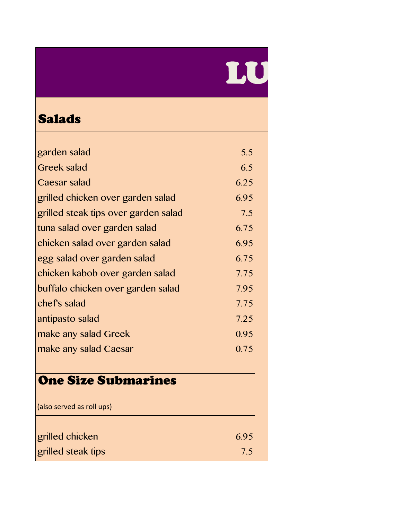# LU

#### Salads

| garden salad                         | 5.5  |
|--------------------------------------|------|
| <b>Greek salad</b>                   | 6.5  |
| Caesar salad                         | 6.25 |
| grilled chicken over garden salad    | 6.95 |
| grilled steak tips over garden salad | 7.5  |
| tuna salad over garden salad         | 6.75 |
| chicken salad over garden salad      | 6.95 |
| egg salad over garden salad          | 6.75 |
| chicken kabob over garden salad      | 7.75 |
| buffalo chicken over garden salad    | 7.95 |
| chef's salad                         | 7.75 |
| antipasto salad                      | 7.25 |
| make any salad Greek                 | 0.95 |
| make any salad Caesar                | 0.75 |
|                                      |      |

## One Size Submarines

| (also served as roll ups) |      |
|---------------------------|------|
| grilled chicken           | 6.95 |
| grilled steak tips        | 7.5  |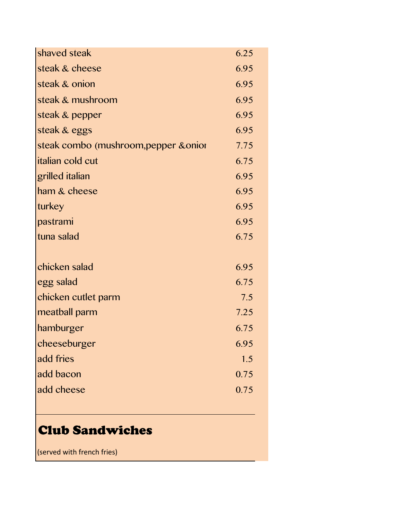| shaved steak                          | 6.25 |
|---------------------------------------|------|
| steak & cheese                        | 6.95 |
| steak & onion                         | 6.95 |
| steak & mushroom                      | 6.95 |
| steak & pepper                        | 6.95 |
| steak & eggs                          | 6.95 |
| steak combo (mushroom, pepper & onior | 7.75 |
| <i>italian cold cut</i>               | 6.75 |
| grilled italian                       | 6.95 |
| ham & cheese                          | 6.95 |
| turkey                                | 6.95 |
| pastrami                              | 6.95 |
| tuna salad                            | 6.75 |
|                                       |      |
| chicken salad                         | 6.95 |
| egg salad                             | 6.75 |
| chicken cutlet parm                   | 7.5  |
| meatball parm                         | 7.25 |
| hamburger                             | 6.75 |
| cheeseburger                          | 6.95 |
| add fries                             | 1.5  |
| add bacon                             | 0.75 |
| add cheese                            | 0.75 |
|                                       |      |

### Club Sandwiches

 $\vert$  (served with french fries)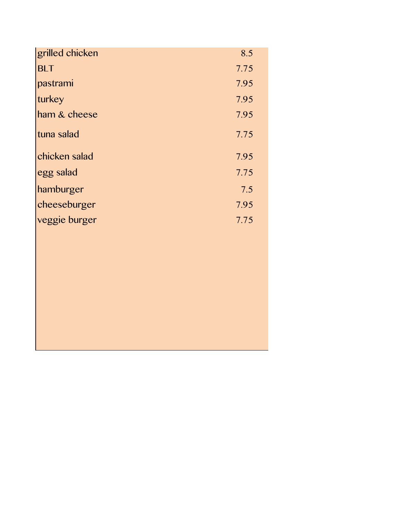| grilled chicken | 8.5  |
|-----------------|------|
| <b>BLT</b>      | 7.75 |
| pastrami        | 7.95 |
| turkey          | 7.95 |
| ham & cheese    | 7.95 |
| tuna salad      | 7.75 |
| chicken salad   | 7.95 |
| egg salad       | 7.75 |
| hamburger       | 7.5  |
| cheeseburger    | 7.95 |
| veggie burger   | 7.75 |
|                 |      |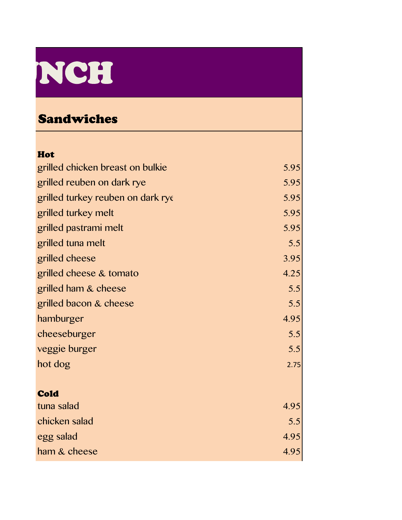# NCH

#### Sandwiches

| Hot                               |      |
|-----------------------------------|------|
| grilled chicken breast on bulkie  | 5.95 |
| grilled reuben on dark rye        | 5.95 |
| grilled turkey reuben on dark rye | 5.95 |
| grilled turkey melt               | 5.95 |
| grilled pastrami melt             | 5.95 |
| grilled tuna melt                 | 5.5  |
| grilled cheese                    | 3.95 |
| grilled cheese & tomato           | 4.25 |
| grilled ham & cheese              | 5.5  |
| grilled bacon & cheese            | 5.5  |
| hamburger                         | 4.95 |
| cheeseburger                      | 5.5  |
| veggie burger                     | 5.5  |
| hot dog                           | 2.75 |
|                                   |      |
| <b>Cold</b>                       |      |
| tuna salad                        | 4.95 |
| chicken salad                     | 5.5  |
| egg salad                         | 4.95 |
| ham & cheese                      | 4.95 |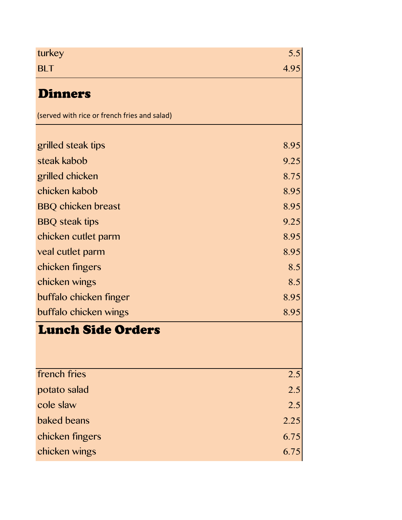| turkey                                       | 5.5<br>4.95 |
|----------------------------------------------|-------------|
| <b>BLT</b>                                   |             |
| <b>Dinners</b>                               |             |
| (served with rice or french fries and salad) |             |
| grilled steak tips                           | 8.95        |
| steak kabob                                  | 9.25        |
| grilled chicken                              | 8.75        |
| chicken kabob                                | 8.95        |
| <b>BBQ chicken breast</b>                    | 8.95        |
| <b>BBQ</b> steak tips                        | 9.25        |
| chicken cutlet parm                          | 8.95        |
| veal cutlet parm                             | 8.95        |
| chicken fingers                              | 8.5         |
| chicken wings                                | 8.5         |
| buffalo chicken finger                       | 8.95        |
| buffalo chicken wings                        | 8.95        |
| <b>Lunch Side Orders</b>                     |             |
| french fries                                 | 2.5         |
| potato salad                                 | 2.5         |
| cole slaw                                    | 2.5         |
| <b>baked</b> beans                           | 2.25        |
| chicken fingers                              | 6.75        |
| chicken wings                                | 6.75        |